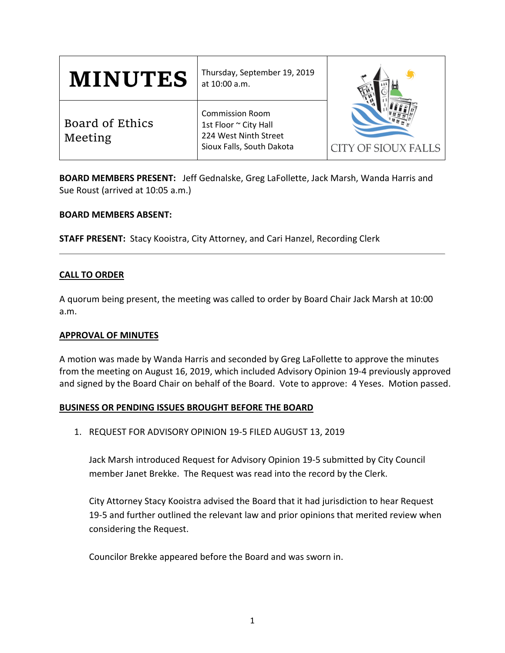| <b>MINUTES</b>             | Thursday, September 19, 2019<br>at 10:00 a.m.                                                         |                     |
|----------------------------|-------------------------------------------------------------------------------------------------------|---------------------|
| Board of Ethics<br>Meeting | <b>Commission Room</b><br>1st Floor ~ City Hall<br>224 West Ninth Street<br>Sioux Falls, South Dakota | CITY OF SIOUX FALLS |

**BOARD MEMBERS PRESENT:** Jeff Gednalske, Greg LaFollette, Jack Marsh, Wanda Harris and Sue Roust (arrived at 10:05 a.m.)

## **BOARD MEMBERS ABSENT:**

**STAFF PRESENT:** Stacy Kooistra, City Attorney, and Cari Hanzel, Recording Clerk

# **CALL TO ORDER**

A quorum being present, the meeting was called to order by Board Chair Jack Marsh at 10:00 a.m.

## **APPROVAL OF MINUTES**

A motion was made by Wanda Harris and seconded by Greg LaFollette to approve the minutes from the meeting on August 16, 2019, which included Advisory Opinion 19-4 previously approved and signed by the Board Chair on behalf of the Board. Vote to approve: 4 Yeses. Motion passed.

## **BUSINESS OR PENDING ISSUES BROUGHT BEFORE THE BOARD**

1. REQUEST FOR ADVISORY OPINION 19-5 FILED AUGUST 13, 2019

Jack Marsh introduced Request for Advisory Opinion 19-5 submitted by City Council member Janet Brekke. The Request was read into the record by the Clerk.

City Attorney Stacy Kooistra advised the Board that it had jurisdiction to hear Request 19-5 and further outlined the relevant law and prior opinions that merited review when considering the Request.

Councilor Brekke appeared before the Board and was sworn in.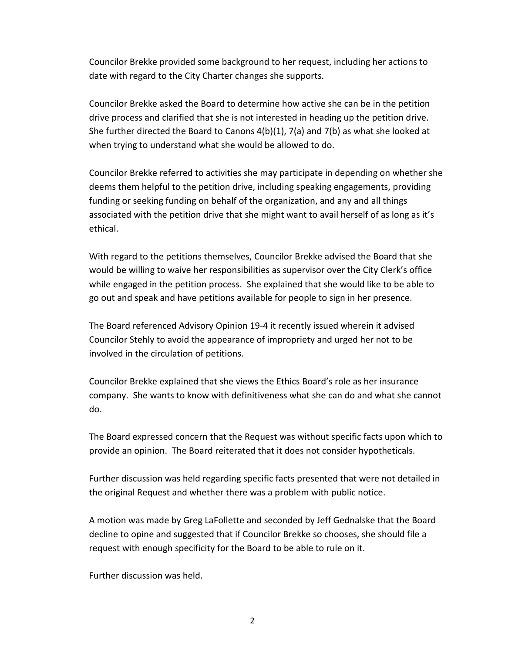Councilor Brekke provided some background to her request, including her actions to date with regard to the City Charter changes she supports.

Councilor Brekke asked the Board to determine how active she can be in the petition drive process and clarified that she is not interested in heading up the petition drive. She further directed the Board to Canons 4(b)(1), 7(a) and 7(b) as what she looked at when trying to understand what she would be allowed to do.

Councilor Brekke referred to activities she may participate in depending on whether she deems them helpful to the petition drive, including speaking engagements, providing funding or seeking funding on behalf of the organization, and any and all things associated with the petition drive that she might want to avail herself of as long as it's ethical.

With regard to the petitions themselves, Councilor Brekke advised the Board that she would be willing to waive her responsibilities as supervisor over the City Clerk's office while engaged in the petition process. She explained that she would like to be able to go out and speak and have petitions available for people to sign in her presence.

The Board referenced Advisory Opinion 19-4 it recently issued wherein it advised Councilor Stehly to avoid the appearance of impropriety and urged her not to be involved in the circulation of petitions.

Councilor Brekke explained that she views the Ethics Board's role as her insurance company. She wants to know with definitiveness what she can do and what she cannot do.

The Board expressed concern that the Request was without specific facts upon which to provide an opinion. The Board reiterated that it does not consider hypotheticals.

Further discussion was held regarding specific facts presented that were not detailed in the original Request and whether there was a problem with public notice.

A motion was made by Greg LaFollette and seconded by Jeff Gednalske that the Board decline to opine and suggested that if Councilor Brekke so chooses, she should file a request with enough specificity for the Board to be able to rule on it.

Further discussion was held.